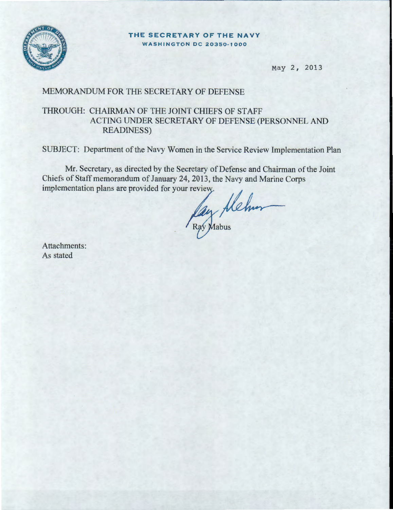

**THE SECRETARY OF THE NAVY**  WASHINGTON DC 20350· 1 000

May 2, 2013

#### MEMORANDUM FOR THE SECRETARY OF DEFENSE

#### THROUGH: CHAIRMAN OF THE JOINT CHIEFS OF STAFF ACTING UNDER SECRETARY OF DEFENSE (PERSONNEL AND READINESS)

SUBJECT: Department of the Navy Women in the Service Review Implementation Plan

Mr. Secretary, as directed by the Secretary of Defense and Chairman of the Joint Chiefs of Staff memorandum of January 24, 2013, the Navy and Marine Corps

implementation plans are provided for your review.<br>Ray Mabus

Attachments: As stated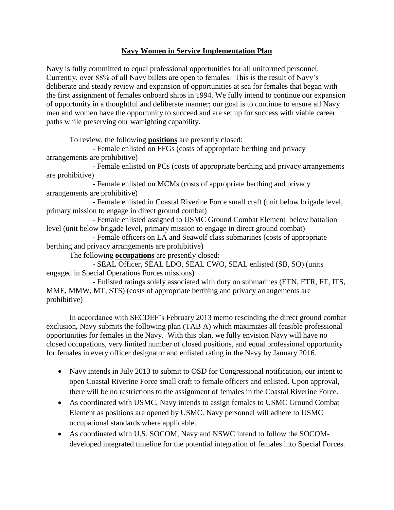#### **Navy Women in Service Implementation Plan**

Navy is fully committed to equal professional opportunities for all uniformed personnel. Currently, over 88% of all Navy billets are open to females. This is the result of Navy's deliberate and steady review and expansion of opportunities at sea for females that began with the first assignment of females onboard ships in 1994. We fully intend to continue our expansion of opportunity in a thoughtful and deliberate manner; our goal is to continue to ensure all Navy men and women have the opportunity to succeed and are set up for success with viable career paths while preserving our warfighting capability.

To review, the following **positions** are presently closed:

- Female enlisted on FFGs (costs of appropriate berthing and privacy arrangements are prohibitive)

- Female enlisted on PCs (costs of appropriate berthing and privacy arrangements are prohibitive)

- Female enlisted on MCMs (costs of appropriate berthing and privacy arrangements are prohibitive)

- Female enlisted in Coastal Riverine Force small craft (unit below brigade level, primary mission to engage in direct ground combat)

- Female enlisted assigned to USMC Ground Combat Element below battalion level (unit below brigade level, primary mission to engage in direct ground combat)

- Female officers on LA and Seawolf class submarines (costs of appropriate berthing and privacy arrangements are prohibitive)

The following **occupations** are presently closed:

- SEAL Officer, SEAL LDO, SEAL CWO, SEAL enlisted (SB, SO) (units engaged in Special Operations Forces missions)

- Enlisted ratings solely associated with duty on submarines (ETN, ETR, FT, ITS, MME, MMW, MT, STS) (costs of appropriate berthing and privacy arrangements are prohibitive)

In accordance with SECDEF's February 2013 memo rescinding the direct ground combat exclusion, Navy submits the following plan (TAB A) which maximizes all feasible professional opportunities for females in the Navy. With this plan, we fully envision Navy will have no closed occupations, very limited number of closed positions, and equal professional opportunity for females in every officer designator and enlisted rating in the Navy by January 2016.

- Navy intends in July 2013 to submit to OSD for Congressional notification, our intent to open Coastal Riverine Force small craft to female officers and enlisted. Upon approval, there will be no restrictions to the assignment of females in the Coastal Riverine Force.
- As coordinated with USMC, Navy intends to assign females to USMC Ground Combat Element as positions are opened by USMC. Navy personnel will adhere to USMC occupational standards where applicable.
- As coordinated with U.S. SOCOM, Navy and NSWC intend to follow the SOCOMdeveloped integrated timeline for the potential integration of females into Special Forces.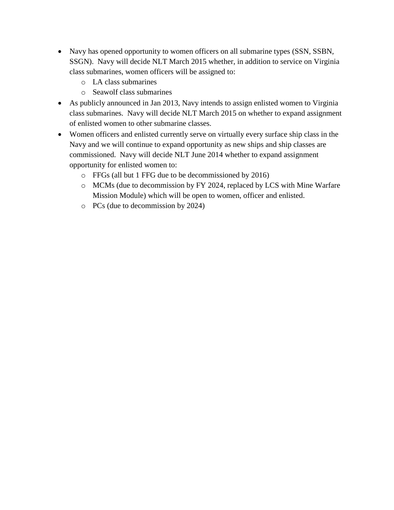- Navy has opened opportunity to women officers on all submarine types (SSN, SSBN, SSGN). Navy will decide NLT March 2015 whether, in addition to service on Virginia class submarines, women officers will be assigned to:
	- o LA class submarines
	- o Seawolf class submarines
- As publicly announced in Jan 2013, Navy intends to assign enlisted women to Virginia class submarines. Navy will decide NLT March 2015 on whether to expand assignment of enlisted women to other submarine classes.
- Women officers and enlisted currently serve on virtually every surface ship class in the Navy and we will continue to expand opportunity as new ships and ship classes are commissioned. Navy will decide NLT June 2014 whether to expand assignment opportunity for enlisted women to:
	- o FFGs (all but 1 FFG due to be decommissioned by 2016)
	- o MCMs (due to decommission by FY 2024, replaced by LCS with Mine Warfare Mission Module) which will be open to women, officer and enlisted.
	- o PCs (due to decommission by 2024)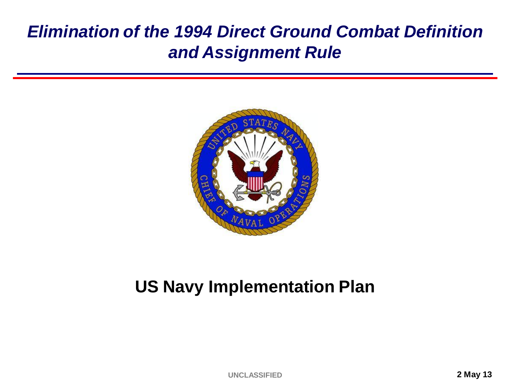### *Elimination of the 1994 Direct Ground Combat Definition and Assignment Rule*



### **US Navy Implementation Plan**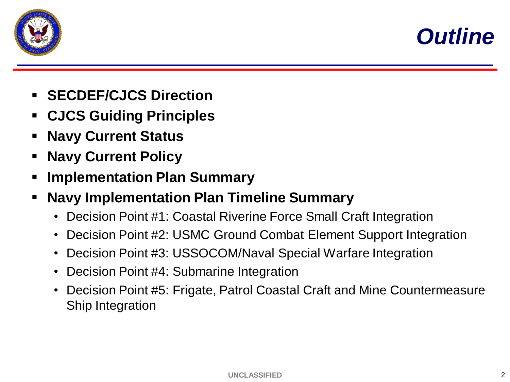



- **SECDEF/CJCS Direction**
- **CJCS Guiding Principles**
- **Navy Current Status**
- **Navy Current Policy**
- **Implementation Plan Summary**
- **Navy Implementation Plan Timeline Summary**
	- Decision Point #1: Coastal Riverine Force Small Craft Integration
	- Decision Point #2: USMC Ground Combat Element Support Integration
	- Decision Point #3: USSOCOM/Naval Special Warfare Integration
	- Decision Point #4: Submarine Integration
	- Decision Point #5: Frigate, Patrol Coastal Craft and Mine Countermeasure Ship Integration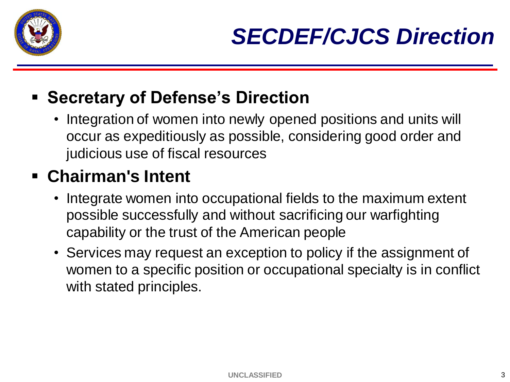

### **Example 2 Secretary of Defense's Direction**

• Integration of women into newly opened positions and units will occur as expeditiously as possible, considering good order and judicious use of fiscal resources

## **Chairman's Intent**

- Integrate women into occupational fields to the maximum extent possible successfully and without sacrificing our warfighting capability or the trust of the American people
- Services may request an exception to policy if the assignment of women to a specific position or occupational specialty is in conflict with stated principles.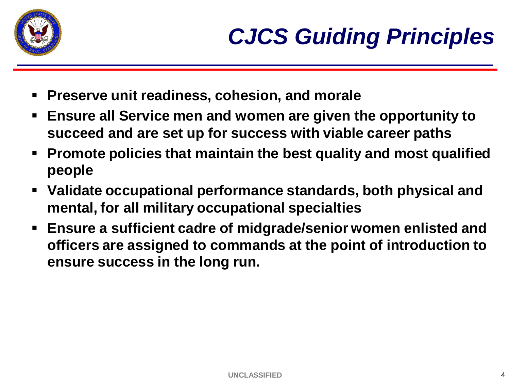

- **Preserve unit readiness, cohesion, and morale**
- **Ensure all Service men and women are given the opportunity to succeed and are set up for success with viable career paths**
- **Promote policies that maintain the best quality and most qualified people**
- **Validate occupational performance standards, both physical and mental, for all military occupational specialties**
- **Ensure a sufficient cadre of midgrade/senior women enlisted and officers are assigned to commands at the point of introduction to ensure success in the long run.**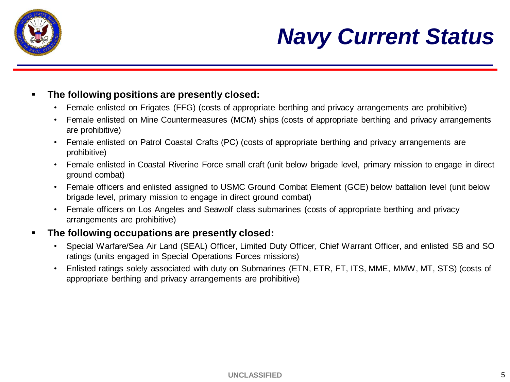

# *Navy Current Status*

#### **The following positions are presently closed:**

- Female enlisted on Frigates (FFG) (costs of appropriate berthing and privacy arrangements are prohibitive)
- Female enlisted on Mine Countermeasures (MCM) ships (costs of appropriate berthing and privacy arrangements are prohibitive)
- Female enlisted on Patrol Coastal Crafts (PC) (costs of appropriate berthing and privacy arrangements are prohibitive)
- Female enlisted in Coastal Riverine Force small craft (unit below brigade level, primary mission to engage in direct ground combat)
- Female officers and enlisted assigned to USMC Ground Combat Element (GCE) below battalion level (unit below brigade level, primary mission to engage in direct ground combat)
- Female officers on Los Angeles and Seawolf class submarines (costs of appropriate berthing and privacy arrangements are prohibitive)

#### **The following occupations are presently closed:**

- Special Warfare/Sea Air Land (SEAL) Officer, Limited Duty Officer, Chief Warrant Officer, and enlisted SB and SO ratings (units engaged in Special Operations Forces missions)
- Enlisted ratings solely associated with duty on Submarines (ETN, ETR, FT, ITS, MME, MMW, MT, STS) (costs of appropriate berthing and privacy arrangements are prohibitive)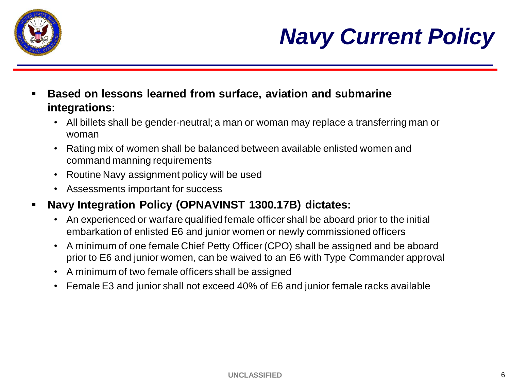



- **Based on lessons learned from surface, aviation and submarine integrations:**
	- All billets shall be gender-neutral; a man or woman may replace a transferring man or woman
	- Rating mix of women shall be balanced between available enlisted women and command manning requirements
	- Routine Navy assignment policy will be used
	- Assessments important for success
- **Navy Integration Policy (OPNAVINST 1300.17B) dictates:**
	- An experienced or warfare qualified female officer shall be aboard prior to the initial embarkation of enlisted E6 and junior women or newly commissioned officers
	- A minimum of one female Chief Petty Officer (CPO) shall be assigned and be aboard prior to E6 and junior women, can be waived to an E6 with Type Commander approval
	- A minimum of two female officers shall be assigned
	- Female E3 and junior shall not exceed 40% of E6 and junior female racks available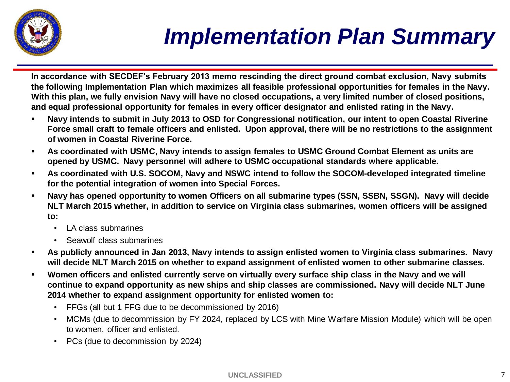

# *Implementation Plan Summary*

**In accordance with SECDEF's February 2013 memo rescinding the direct ground combat exclusion, Navy submits the following Implementation Plan which maximizes all feasible professional opportunities for females in the Navy. With this plan, we fully envision Navy will have no closed occupations, a very limited number of closed positions, and equal professional opportunity for females in every officer designator and enlisted rating in the Navy.** 

- **Navy intends to submit in July 2013 to OSD for Congressional notification, our intent to open Coastal Riverine Force small craft to female officers and enlisted. Upon approval, there will be no restrictions to the assignment of women in Coastal Riverine Force.**
- **As coordinated with USMC, Navy intends to assign females to USMC Ground Combat Element as units are opened by USMC. Navy personnel will adhere to USMC occupational standards where applicable.**
- **As coordinated with U.S. SOCOM, Navy and NSWC intend to follow the SOCOM-developed integrated timeline for the potential integration of women into Special Forces.**
- **Navy has opened opportunity to women Officers on all submarine types (SSN, SSBN, SSGN). Navy will decide NLT March 2015 whether, in addition to service on Virginia class submarines, women officers will be assigned to:** 
	- LA class submarines
	- Seawolf class submarines
- **As publicly announced in Jan 2013, Navy intends to assign enlisted women to Virginia class submarines. Navy will decide NLT March 2015 on whether to expand assignment of enlisted women to other submarine classes.**
- **Women officers and enlisted currently serve on virtually every surface ship class in the Navy and we will continue to expand opportunity as new ships and ship classes are commissioned. Navy will decide NLT June 2014 whether to expand assignment opportunity for enlisted women to:** 
	- FFGs (all but 1 FFG due to be decommissioned by 2016)
	- MCMs (due to decommission by FY 2024, replaced by LCS with Mine Warfare Mission Module) which will be open to women, officer and enlisted.
	- PCs (due to decommission by 2024)

#### **UNCLASSIFIED**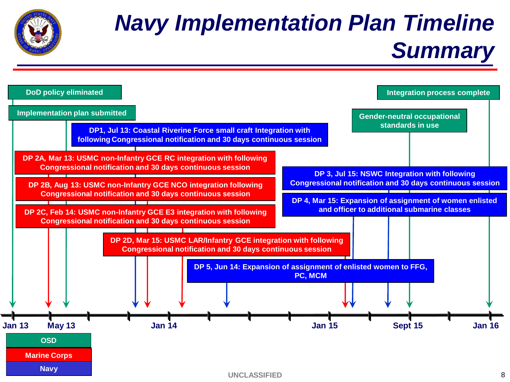

# *Navy Implementation Plan Timeline Summary*

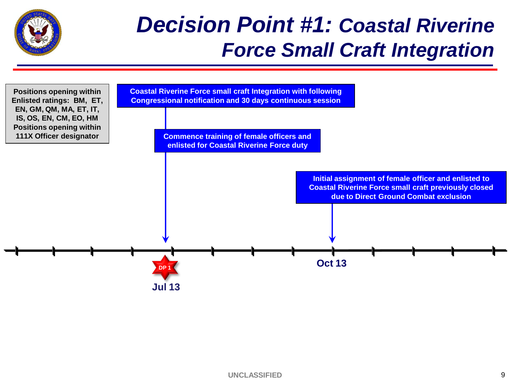

## *Decision Point #1: Coastal Riverine Force Small Craft Integration*

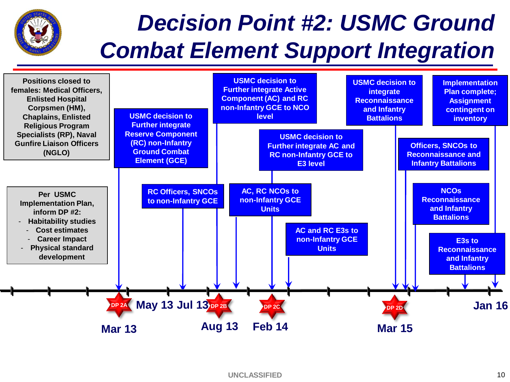

# *Decision Point #2: USMC Ground Combat Element Support Integration*

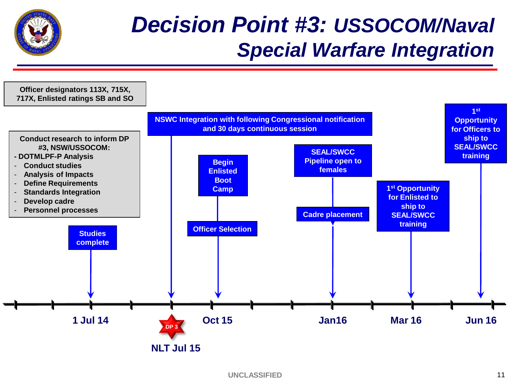

## *Decision Point #3: USSOCOM/Naval Special Warfare Integration*

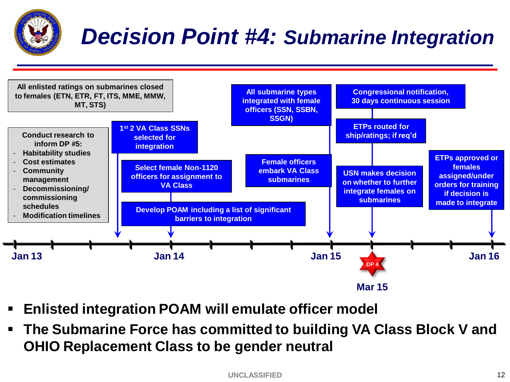

# *Decision Point #4: Submarine Integration*



- **Enlisted integration POAM will emulate officer model**
- **The Submarine Force has committed to building VA Class Block V and OHIO Replacement Class to be gender neutral**